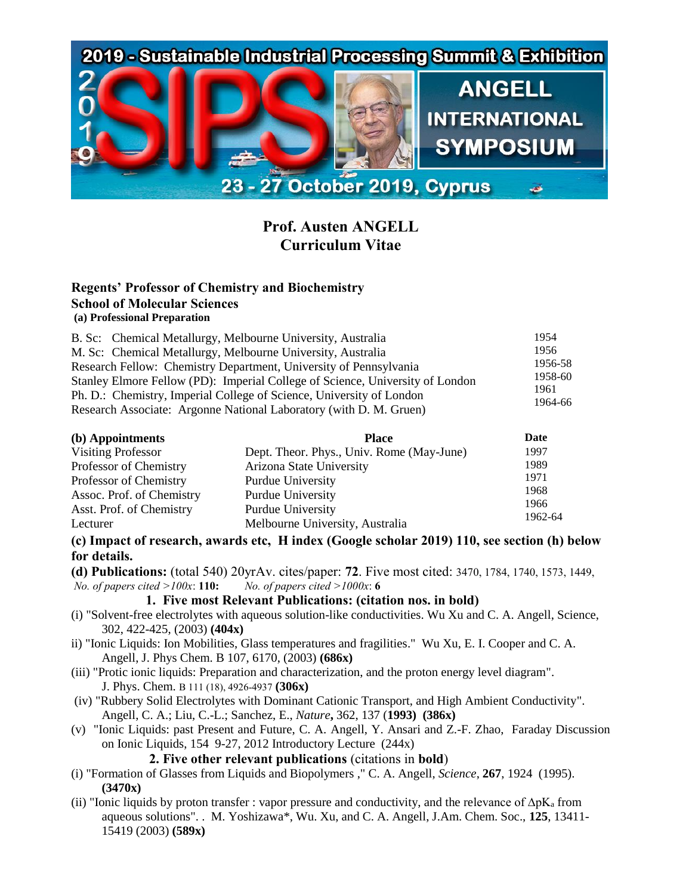

# **Prof. Austen ANGELL Curriculum Vitae**

#### **Regents' Professor of Chemistry and Biochemistry School of Molecular Sciences (a) Professional Preparation**

| B. Sc: Chemical Metallurgy, Melbourne University, Australia                   | 1954    |
|-------------------------------------------------------------------------------|---------|
| M. Sc: Chemical Metallurgy, Melbourne University, Australia                   | 1956    |
| Research Fellow: Chemistry Department, University of Pennsylvania             | 1956-58 |
| Stanley Elmore Fellow (PD): Imperial College of Science, University of London |         |
| Ph. D.: Chemistry, Imperial College of Science, University of London          |         |
| Research Associate: Argonne National Laboratory (with D. M. Gruen)            |         |

| (b) Appointments          | <b>Place</b>                              | Date            |
|---------------------------|-------------------------------------------|-----------------|
| <b>Visiting Professor</b> | Dept. Theor. Phys., Univ. Rome (May-June) | 1997            |
| Professor of Chemistry    | Arizona State University                  | 1989            |
| Professor of Chemistry    | <b>Purdue University</b>                  | 1971            |
| Assoc. Prof. of Chemistry | Purdue University                         | 1968            |
| Asst. Prof. of Chemistry  | <b>Purdue University</b>                  | 1966<br>1962-64 |
| Lecturer                  | Melbourne University, Australia           |                 |

#### **(c) Impact of research, awards etc, H index (Google scholar 2019) 110, see section (h) below for details.**

**(d) Publications:** (total 540) 20yrAv. cites/paper: **72**. Five most cited: 3470, 1784, 1740, 1573, 1449, *No. of papers cited >100x*: **110:** *No. of papers cited >1000x*: **6**

#### **1. Five most Relevant Publications: (citation nos. in bold)**

- (i) "Solvent-free electrolytes with aqueous solution-like conductivities. Wu Xu and C. A. Angell, Science, 302, 422-425, (2003) **(404x)**
- ii) "Ionic Liquids: Ion Mobilities, Glass temperatures and fragilities." Wu Xu, E. I. Cooper and C. A. Angell, J. Phys Chem. B 107, 6170, (2003) **(686x)**
- (iii) "Protic ionic liquids: Preparation and characterization, and the proton energy level diagram". J. Phys. Chem. B 111 (18), 4926-4937 **(306x)**
- (iv) "Rubbery Solid Electrolytes with Dominant Cationic Transport, and High Ambient Conductivity". Angell, C. A.; Liu, C.-L.; Sanchez, E., *Nature***,** 362, 137 (**1993) (386x)**
- (v) "Ionic Liquids: past Present and Future, C. A. Angell, Y. Ansari and Z.-F. Zhao, Faraday Discussion on Ionic Liquids, 154 9-27, 2012 Introductory Lecture (244x)

## **2. Five other relevant publications** (citations in **bold**)

- (i) "Formation of Glasses from Liquids and Biopolymers ," C. A. Angell, *Science*, **267**, 1924 (1995). **(3470x)**
- (ii) "Ionic liquids by proton transfer : vapor pressure and conductivity, and the relevance of  $\Delta pK_a$  from aqueous solutions". . M. Yoshizawa\*, Wu. Xu, and C. A. Angell, J.Am. Chem. Soc., **125**, 13411- 15419 (2003) **(589x)**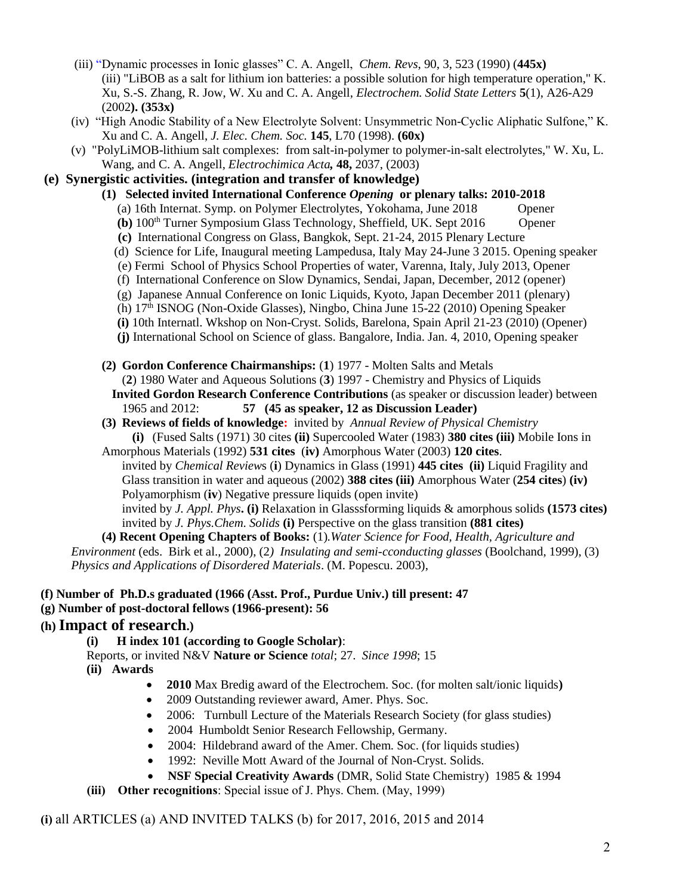- (iii) "Dynamic processes in Ionic glasses" C. A. Angell, *Chem. Revs*, 90, 3, 523 (1990) (**445x)** (iii) "LiBOB as a salt for lithium ion batteries: a possible solution for high temperature operation," K. Xu, S.-S. Zhang, R. Jow, W. Xu and C. A. Angell, *Electrochem. Solid State Letters* **5**(1), A26-A29 (2002**). (353x)**
- (iv) "High Anodic Stability of a New Electrolyte Solvent: Unsymmetric Non-Cyclic Aliphatic Sulfone," K. Xu and C. A. Angell, *J. Elec. Chem. Soc.* **145**, L70 (1998). **(60x)**
- (v) "PolyLiMOB-lithium salt complexes: from salt-in-polymer to polymer-in-salt electrolytes," W. Xu, L. Wang, and C. A. Angell*, Electrochimica Acta,* **48,** 2037, (2003)

#### **(e) Synergistic activities. (integration and transfer of knowledge)**

- **(1) Selected invited International Conference** *Opening* **or plenary talks: 2010-2018**
	- (a) 16th Internat. Symp. on Polymer Electrolytes, Yokohama, June 2018 Opener
	- **(b)**  $100<sup>th</sup>$  Turner Symposium Glass Technology, Sheffield, UK. Sept 2016 Opener
	- **(c)** International Congress on Glass, Bangkok, Sept. 21-24, 2015 Plenary Lecture
	- (d) Science for Life, Inaugural meeting Lampedusa, Italy May 24-June 3 2015. Opening speaker
	- (e) Fermi School of Physics School Properties of water, Varenna, Italy, July 2013, Opener
	- (f) International Conference on Slow Dynamics, Sendai, Japan, December, 2012 (opener)
	- (g) Japanese Annual Conference on Ionic Liquids, Kyoto, Japan December 2011 (plenary)
	- (h) 17th ISNOG (Non-Oxide Glasses), Ningbo, China June 15-22 (2010) Opening Speaker
	- **(i)** 10th Internatl. Wkshop on Non-Cryst. Solids, Barelona, Spain April 21-23 (2010) (Opener)
	- **(j)** International School on Science of glass. Bangalore, India. Jan. 4, 2010, Opening speaker
- **(2) Gordon Conference Chairmanships:** (**1**) 1977 Molten Salts and Metals (**2**) 1980 Water and Aqueous Solutions (**3**) 1997 - Chemistry and Physics of Liquids **Invited Gordon Research Conference Contributions** (as speaker or discussion leader) between
	- 1965 and 2012: **57 (45 as speaker, 12 as Discussion Leader)**
- **(3) Reviews of fields of knowledge:** invited by *Annual Review of Physical Chemistry* **(i)** (Fused Salts (1971) 30 cites **(ii)** Supercooled Water (1983) **380 cites (iii)** Mobile Ions in
- Amorphous Materials (1992) **531 cites** (**iv)** Amorphous Water (2003) **120 cites**.
	- invited by *Chemical Review*s (**i**) Dynamics in Glass (1991) **445 cites (ii)** Liquid Fragility and Glass transition in water and aqueous (2002) **388 cites (iii)** Amorphous Water (**254 cites**) **(iv)**  Polyamorphism (**iv**) Negative pressure liquids (open invite)

invited by *J. Appl. Phys***. (i)** Relaxation in Glasssforming liquids & amorphous solids **(1573 cites)** invited by *J. Phys.Chem. Solids* **(i)** Perspective on the glass transition **(881 cites)**

**(4) Recent Opening Chapters of Books:** (1)*.Water Science for Food, Health, Agriculture and Environment* (eds. Birk et al., 2000), (2*) Insulating and semi-cconducting glasses* (Boolchand, 1999), (3) *Physics and Applications of Disordered Materials*. (M. Popescu. 2003),

#### **(f) Number of Ph.D.s graduated (1966 (Asst. Prof., Purdue Univ.) till present: 47**

**(g) Number of post-doctoral fellows (1966-present): 56**

### **(h) Impact of research.)**

**(i) H index 101 (according to Google Scholar)**:

Reports, or invited N&V **Nature or Science** *total*; 27. *Since 1998*; 15 **(ii) Awards** 

- **2010** Max Bredig award of the Electrochem. Soc. (for molten salt/ionic liquids**)**
- 2009 Outstanding reviewer award, Amer. Phys. Soc.
- 2006: Turnbull Lecture of the Materials Research Society (for glass studies)
- 2004 Humboldt Senior Research Fellowship, Germany.
- 2004: Hildebrand award of the Amer. Chem. Soc. (for liquids studies)
- 1992: Neville Mott Award of the Journal of Non-Cryst. Solids.
- **NSF Special Creativity Awards** (DMR, Solid State Chemistry) 1985 & 1994
- **(iii) Other recognitions**: Special issue of J. Phys. Chem. (May, 1999)

**(i)** all ARTICLES (a) AND INVITED TALKS (b) for 2017, 2016, 2015 and 2014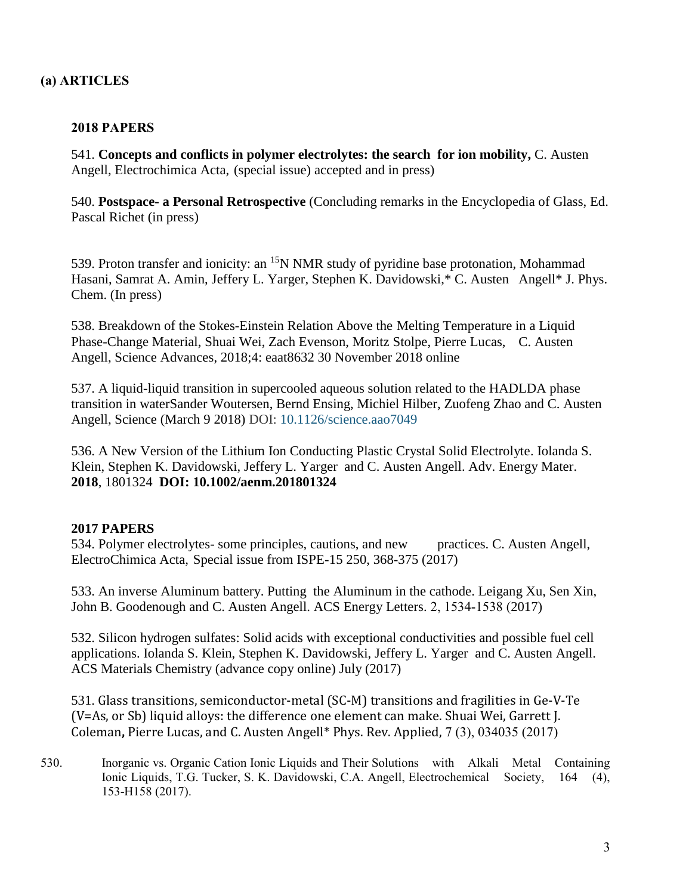## **(a) ARTICLES**

#### **2018 PAPERS**

541. **Concepts and conflicts in polymer electrolytes: the search for ion mobility,** C. Austen Angell, Electrochimica Acta, (special issue) accepted and in press)

540. **Postspace- a Personal Retrospective** (Concluding remarks in the Encyclopedia of Glass, Ed. Pascal Richet (in press)

539. Proton transfer and ionicity: an <sup>15</sup>N NMR study of pyridine base protonation, Mohammad Hasani, Samrat A. Amin, Jeffery L. Yarger, Stephen K. Davidowski,\* C. Austen Angell\* J. Phys. Chem. (In press)

538. Breakdown of the Stokes-Einstein Relation Above the Melting Temperature in a Liquid Phase-Change Material, Shuai Wei, Zach Evenson, Moritz Stolpe, Pierre Lucas, C. Austen Angell, Science Advances, 2018;4: eaat8632 30 November 2018 online

537. A liquid-liquid transition in supercooled aqueous solution related to the HADLDA phase transition in waterSander Woutersen, Bernd Ensing, Michiel Hilber, Zuofeng Zhao and C. Austen Angell, Science (March 9 2018) DOI: 10.1126/science.aao7049

536. A New Version of the Lithium Ion Conducting Plastic Crystal Solid Electrolyte. Iolanda S. Klein, Stephen K. Davidowski, Jeffery L. Yarger and C. Austen Angell. Adv. Energy Mater. **2018**, 1801324 **DOI: 10.1002/aenm.201801324**

#### **2017 PAPERS**

534. Polymer electrolytes- some principles, cautions, and new practices. C. Austen Angell, ElectroChimica Acta, Special issue from ISPE-15 250, 368-375 (2017)

533. An inverse Aluminum battery. Putting the Aluminum in the cathode. Leigang Xu, Sen Xin, John B. Goodenough and C. Austen Angell. ACS Energy Letters. 2, 1534-1538 (2017)

532. Silicon hydrogen sulfates: Solid acids with exceptional conductivities and possible fuel cell applications. Iolanda S. Klein, Stephen K. Davidowski, Jeffery L. Yarger and C. Austen Angell. ACS Materials Chemistry (advance copy online) July (2017)

531. Glass transitions, semiconductor-metal (SC-M) transitions and fragilities in Ge-V-Te (V=As, or Sb) liquid alloys: the difference one element can make. Shuai Wei, Garrett J. Coleman**,** Pierre Lucas, and C. Austen Angell\* Phys. Rev. Applied, 7 (3), 034035 (2017)

530. Inorganic vs. Organic Cation Ionic Liquids and Their Solutions with Alkali Metal Containing Ionic Liquids, T.G. Tucker, S. K. Davidowski, C.A. Angell, Electrochemical Society, 164 (4), 153-H158 (2017).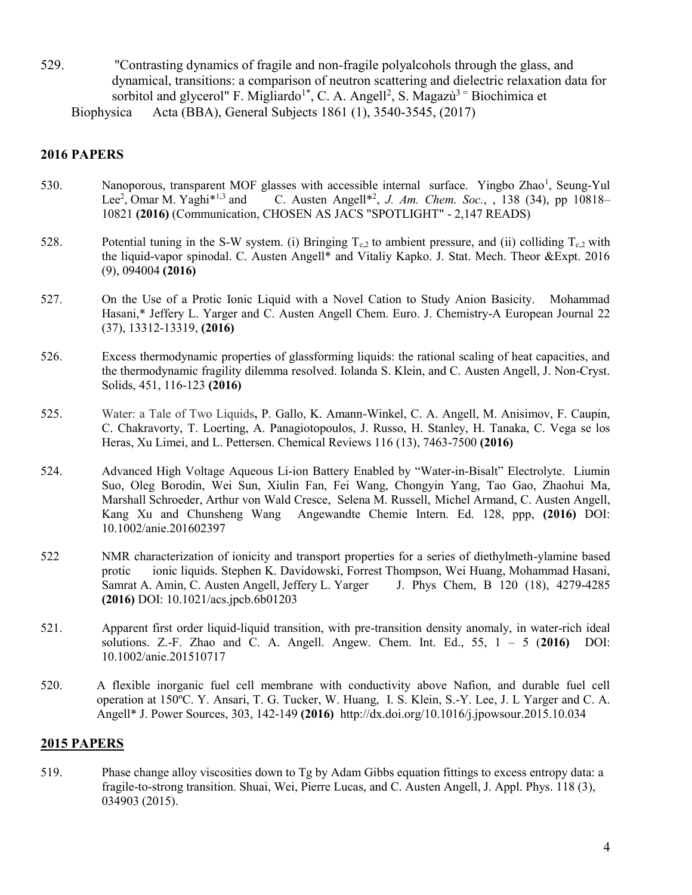529. "Contrasting dynamics of fragile and non-fragile polyalcohols through the glass, and dynamical, transitions: a comparison of neutron scattering and dielectric relaxation data for sorbitol and glycerol" F. Migliardo<sup>1\*</sup>, C. A. Angell<sup>2</sup>, S. Magazù<sup>3 =</sup> Biochimica et Biophysica Acta (BBA), General Subjects 1861 (1), 3540-3545, (2017)

#### **2016 PAPERS**

- 530. Nanoporous, transparent MOF glasses with accessible internal surface. Yingbo Zhao<sup>1</sup>, Seung-Yul Lee<sup>2</sup>, Omar M. Yaghi<sup>\*1,3</sup> and C. Austen Angell<sup>\*2</sup> , *J. Am. Chem. Soc.*, , 138 (34), pp 10818– 10821 **(2016)** (Communication, CHOSEN AS JACS "SPOTLIGHT" - 2,147 READS)
- 528. Potential tuning in the S-W system. (i) Bringing  $T_{c,2}$  to ambient pressure, and (ii) colliding  $T_{c,2}$  with the liquid-vapor spinodal. C. Austen Angell\* and Vitaliy Kapko. J. Stat. Mech. Theor &Expt. 2016 (9), 094004 **(2016)**
- 527. On the Use of a Protic Ionic Liquid with a Novel Cation to Study Anion Basicity. Mohammad Hasani,\* Jeffery L. Yarger and C. Austen Angell Chem. Euro. J. Chemistry-A European Journal 22 (37), 13312-13319, **(2016)**
- 526. Excess thermodynamic properties of glassforming liquids: the rational scaling of heat capacities, and the thermodynamic fragility dilemma resolved. Iolanda S. Klein, and C. Austen Angell, J. Non-Cryst. Solids, 451, 116-123 **(2016)**
- 525. Water: a Tale of Two Liquids**,** P. Gallo, K. Amann-Winkel, C. A. Angell, M. Anisimov, F. Caupin, C. Chakravorty, T. Loerting, A. Panagiotopoulos, J. Russo, H. Stanley, H. Tanaka, C. Vega se los Heras, Xu Limei, and L. Pettersen. Chemical Reviews 116 (13), 7463-7500 **(2016)**
- 524. Advanced High Voltage Aqueous Li-ion Battery Enabled by "Water-in-Bisalt" Electrolyte. Liumin Suo, Oleg Borodin, Wei Sun, Xiulin Fan, Fei Wang, Chongyin Yang, Tao Gao, Zhaohui Ma, Marshall Schroeder, Arthur von Wald Cresce, Selena M. Russell, Michel Armand, C. Austen Angell, Kang Xu and Chunsheng Wang Angewandte Chemie Intern. Ed. 128, ppp, **(2016)** DOI: 10.1002/anie.201602397
- 522 NMR characterization of ionicity and transport properties for a series of diethylmeth-ylamine based protic ionic liquids. Stephen K. Davidowski, Forrest Thompson, Wei Huang, Mohammad Hasani, Samrat A. Amin, C. Austen Angell, Jeffery L. Yarger J. Phys Chem, B 120 (18), 4279-4285 **(2016)** DOI: 10.1021/acs.jpcb.6b01203
- 521. Apparent first order liquid-liquid transition, with pre-transition density anomaly, in water-rich ideal solutions. Z.-F. Zhao and C. A. Angell. Angew. Chem. Int. Ed., 55, 1 – 5 (**2016)** DOI: 10.1002/anie.201510717
- 520. A flexible inorganic fuel cell membrane with conductivity above Nafion, and durable fuel cell operation at 150ºC. Y. Ansari, T. G. Tucker, W. Huang, I. S. Klein, S.-Y. Lee, J. L Yarger and C. A. Angell\* J. Power Sources, 303, 142-149 **(2016)** http://dx.doi.org/10.1016/j.jpowsour.2015.10.034

#### **2015 PAPERS**

519. Phase change alloy viscosities down to Tg by Adam Gibbs equation fittings to excess entropy data: a fragile-to-strong transition. Shuai, Wei, Pierre Lucas, and C. Austen Angell, J. Appl. Phys. 118 (3), 034903 (2015).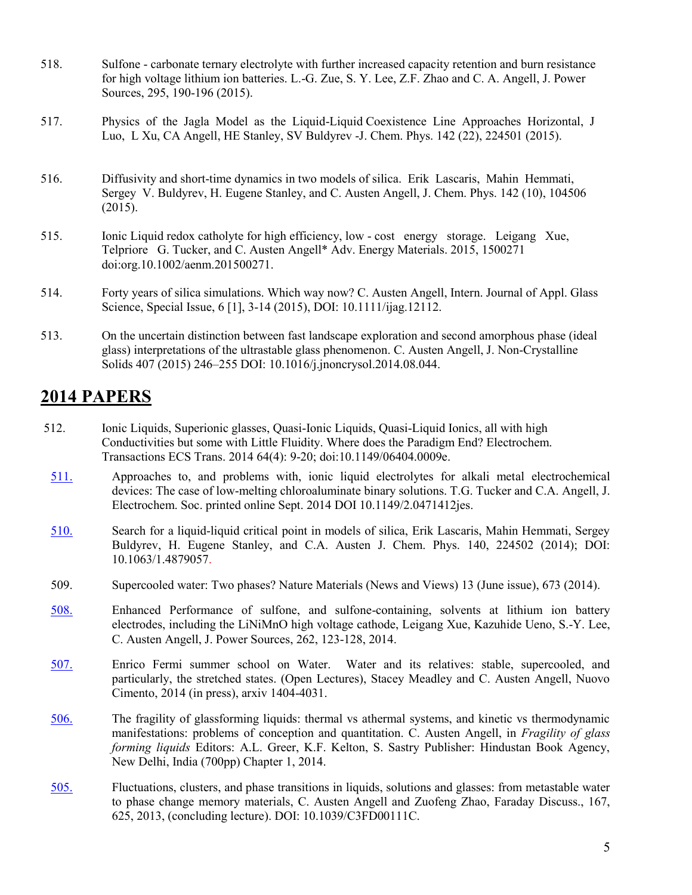- 518. Sulfone carbonate ternary electrolyte with further increased capacity retention and burn resistance for high voltage lithium ion batteries. L.-G. Zue, S. Y. Lee, Z.F. Zhao and C. A. Angell, J. Power Sources, 295, 190-196 (2015).
- 517. Physics of the Jagla Model as the Liquid-Liquid Coexistence Line Approaches Horizontal, J Luo, L Xu, CA Angell, HE Stanley, SV Buldyrev -J. Chem. Phys. 142 (22), 224501 (2015).
- 516. Diffusivity and short-time dynamics in two models of silica. Erik Lascaris, Mahin Hemmati, Sergey V. Buldyrev, H. Eugene Stanley, and C. Austen Angell, J. Chem. Phys. 142 (10), 104506 (2015).
- 515. Ionic Liquid redox catholyte for high efficiency, low cost energy storage. Leigang Xue, Telpriore G. Tucker, and C. Austen Angell\* Adv. Energy Materials. 2015, 1500271 doi:org.10.1002/aenm.201500271.
- 514. Forty years of silica simulations. Which way now? C. Austen Angell, Intern. Journal of Appl. Glass Science, Special Issue, 6 [1], 3-14 (2015), DOI: 10.1111/ijag.12112.
- 513. On the uncertain distinction between fast landscape exploration and second amorphous phase (ideal glass) interpretations of the ultrastable glass phenomenon. C. Austen Angell, J. Non-Crystalline Solids 407 (2015) 246–255 DOI: 10.1016/j.jnoncrysol.2014.08.044.

# **2014 PAPERS**

- 512. Ionic Liquids, Superionic glasses, Quasi-Ionic Liquids, Quasi-Liquid Ionics, all with high Conductivities but some with Little Fluidity. Where does the Paradigm End? Electrochem. Transactions ECS Trans. 2014 64(4): 9-20; doi:10.1149/06404.0009e.
- [511.](http://www.public.asu.edu/%257Ecaangell/511.%20ABSTRACT%20TUCKER.pdf) Approaches to, and problems with, ionic liquid electrolytes for alkali metal electrochemical devices: The case of low-melting chloroaluminate binary solutions. T.G. Tucker and C.A. Angell, J. Electrochem. Soc. printed online Sept. 2014 DOI 10.1149/2.0471412jes.
- [510.](http://www.public.asu.edu/%257Ecaangell/510.%20Lascaris%20etal%20silica%20criticality%20lhbsa12feb2014%20%2528510%20subm%2529.pdf) Search for a liquid-liquid critical point in models of silica, Erik Lascaris, Mahin Hemmati, Sergey Buldyrev, H. Eugene Stanley, and C.A. Austen J. Chem. Phys. 140, 224502 (2014); DOI: 10.1063/1.4879057.
- 509. Supercooled water: Two phases? Nature Materials (News and Views) 13 (June issue), 673 (2014).
- [508.](http://www.public.asu.edu/%257Ecaangell/508.%20Enhanced%20performance%20of%20sulfone-based%20electrolytes%20at%20lithium%20ion%20battery%20electrodes,%20including%20the%20LiNi0.5Mn1.5O4%20high%20voltage%20cathode.pdf) Enhanced Performance of sulfone, and sulfone-containing, solvents at lithium ion battery electrodes, including the LiNiMnO high voltage cathode, Leigang Xue, Kazuhide Ueno, S.-Y. Lee, C. Austen Angell, J. Power Sources, 262, 123-128, 2014.
- [507.](http://www.public.asu.edu/%257Ecaangell/507.%20Water%20and%20its%20relatives-%20the%20stable,%20supercooled%20and%20particularly%20the%20stretched,%20regimes.pdf) Enrico Fermi summer school on Water. Water and its relatives: stable, supercooled, and particularly, the stretched states. (Open Lectures), Stacey Meadley and C. Austen Angell, Nuovo Cimento, 2014 (in press), arxiv 1404-4031.
- [506.](http://www.public.asu.edu/%257Ecaangell/506%20Bangalore%20fragility%20symposium%20CAA%20MS%20%2528for%20sending%2529.pdf) The fragility of glassforming liquids: thermal vs athermal systems, and kinetic vs thermodynamic manifestations: problems of conception and quantitation. C. Austen Angell, in *Fragility of glass forming liquids* Editors: A.L. Greer, K.F. Kelton, S. Sastry Publisher: Hindustan Book Agency, New Delhi, India (700pp) Chapter 1, 2014.
- [505.](http://www.public.asu.edu/%257Ecaangell/505%20Faraday%20Discussions.pdf) Fluctuations, clusters, and phase transitions in liquids, solutions and glasses: from metastable water to phase change memory materials, C. Austen Angell and Zuofeng Zhao, Faraday Discuss., 167, 625, 2013, (concluding lecture). DOI: 10.1039/C3FD00111C.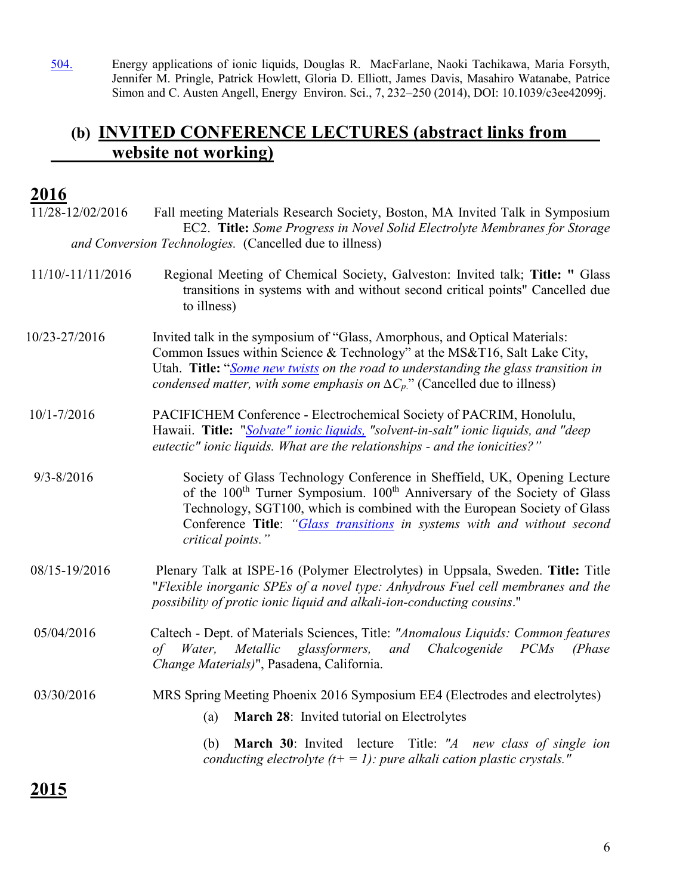[504.](http://www.public.asu.edu/%257Ecaangell/504%20Energy%20applications%20of%20ionic%20liquids.pdf) Energy applications of ionic liquids, Douglas R. MacFarlane, Naoki Tachikawa, Maria Forsyth, Jennifer M. Pringle, Patrick Howlett, Gloria D. Elliott, James Davis, Masahiro Watanabe, Patrice Simon and C. Austen Angell, Energy Environ. Sci., 7, 232–250 (2014), DOI: 10.1039/c3ee42099j.

# **(b) INVITED CONFERENCE LECTURES (abstract links from website not working)**

# **2016**

| 11/28-12/02/2016  | Fall meeting Materials Research Society, Boston, MA Invited Talk in Symposium<br>EC2. Title: Some Progress in Novel Solid Electrolyte Membranes for Storage                                                                                                                                                                                              |
|-------------------|----------------------------------------------------------------------------------------------------------------------------------------------------------------------------------------------------------------------------------------------------------------------------------------------------------------------------------------------------------|
|                   | and Conversion Technologies. (Cancelled due to illness)                                                                                                                                                                                                                                                                                                  |
| 11/10/-11/11/2016 | Regional Meeting of Chemical Society, Galveston: Invited talk; Title: " Glass<br>transitions in systems with and without second critical points" Cancelled due<br>to illness)                                                                                                                                                                            |
| 10/23-27/2016     | Invited talk in the symposium of "Glass, Amorphous, and Optical Materials:<br>Common Issues within Science & Technology" at the MS&T16, Salt Lake City,<br>Utah. Title: "Some new twists on the road to understanding the glass transition in<br>condensed matter, with some emphasis on $\Delta C_p$ ." (Cancelled due to illness)                      |
| $10/1 - 7/2016$   | PACIFICHEM Conference - Electrochemical Society of PACRIM, Honolulu,<br>Hawaii. Title: "Solvate" ionic liquids, "solvent-in-salt" ionic liquids, and "deep<br>eutectic" ionic liquids. What are the relationships - and the ionicities?"                                                                                                                 |
| $9/3 - 8/2016$    | Society of Glass Technology Conference in Sheffield, UK, Opening Lecture<br>of the 100 <sup>th</sup> Turner Symposium. 100 <sup>th</sup> Anniversary of the Society of Glass<br>Technology, SGT100, which is combined with the European Society of Glass<br>Conference Title: "Glass transitions in systems with and without second<br>critical points." |
| 08/15-19/2016     | Plenary Talk at ISPE-16 (Polymer Electrolytes) in Uppsala, Sweden. Title: Title<br>"Flexible inorganic SPEs of a novel type: Anhydrous Fuel cell membranes and the<br>possibility of protic ionic liquid and alkali-ion-conducting cousins."                                                                                                             |
| 05/04/2016        | Caltech - Dept. of Materials Sciences, Title: "Anomalous Liquids: Common features<br>Metallic<br>glassformers,<br>and<br>Chalcogenide<br>PCMs<br>Water,<br>(Phase)<br>of<br>Change Materials)", Pasadena, California.                                                                                                                                    |
| 03/30/2016        | MRS Spring Meeting Phoenix 2016 Symposium EE4 (Electrodes and electrolytes)                                                                                                                                                                                                                                                                              |
|                   | March 28: Invited tutorial on Electrolytes<br>(a)                                                                                                                                                                                                                                                                                                        |
|                   | March 30: Invited lecture Title: "A new class of single ion<br>(b)<br>conducting electrolyte $(t+1)$ : pure alkali cation plastic crystals."                                                                                                                                                                                                             |
|                   |                                                                                                                                                                                                                                                                                                                                                          |

**2015**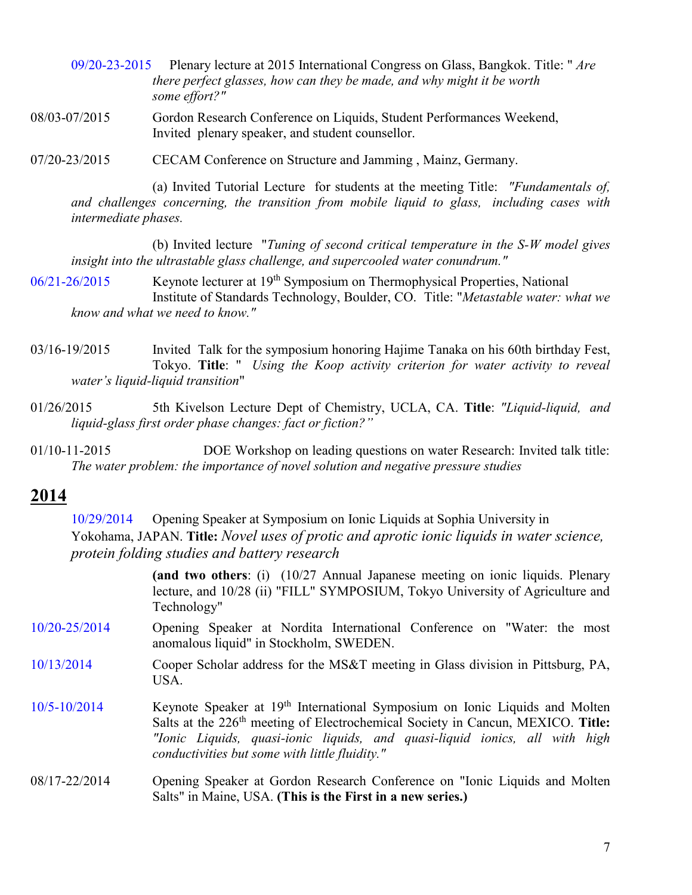- [09/20-23-2015](http://www.public.asu.edu/%257Ecaangell/2015%20ICG%20%2528Bangkok%2529%20abstract%20%2528template%2529.pdf) Plenary lecture at 2015 International Congress on Glass, Bangkok. Title: " *Are there perfect glasses, how can they be made, and why might it be worth some effort?"*
- 08/03-07/2015 Gordon Research Conference on Liquids, Student Performances Weekend, Invited plenary speaker, and student counsellor.
- 07/20-23/2015 CECAM Conference on Structure and Jamming , Mainz, Germany.

(a) Invited Tutorial Lecture for students at the meeting Title: *"Fundamentals of, and challenges concerning, the transition from mobile liquid to glass, including cases with intermediate phases.*

(b) Invited lecture "*Tuning of second critical temperature in the S-W model gives insight into the ultrastable glass challenge, and supercooled water conundrum."*

[06/21-26/2015](http://www.public.asu.edu/%257Ecaangell/Denver%20Thermophys%20abstract-3.pdf) Keynote lecturer at 19<sup>th</sup> Symposium on Thermophysical Properties, National Institute of Standards Technology, Boulder, CO. Title: "*Metastable water: what we know and what we need to know."*

- 03/16-19/2015 Invited Talk for the symposium honoring Hajime Tanaka on his 60th birthday Fest, Tokyo. **Title**: " *Using the Koop activity criterion for water activity to reveal water's liquid-liquid transition*"
- 01/26/2015 5th Kivelson Lecture Dept of Chemistry, UCLA, CA. **Title**: *"Liquid-liquid, and liquid-glass first order phase changes: fact or fiction?"*
- 01/10-11-2015 DOE Workshop on leading questions on water Research: Invited talk title: *The water problem: the importance of novel solution and negative pressure studies*

## **2014**

[10/29/2014](http://www.public.asu.edu/%257Ecaangell/Abstract%20for%20Yokohama%20IL%20meeting%20%2528Watanabe%2529.pdf) Opening Speaker at Symposium on Ionic Liquids at Sophia University in Yokohama, JAPAN. **Title:** *Novel uses of protic and aprotic ionic liquids in water science, protein folding studies and battery research*

> **(and two others**: (i) (10/27 Annual Japanese meeting on ionic liquids. Plenary lecture, and 10/28 (ii) "FILL" SYMPOSIUM, Tokyo University of Agriculture and Technology"

- [10/20-25/2014](http://www.public.asu.edu/%257Ecaangell/Abstract%20for%20Nordita%20Conference.pdf) Opening Speaker at Nordita International Conference on "Water: the most anomalous liquid" in Stockholm, SWEDEN.
- [10/13/2014](http://www.public.asu.edu/%257Ecaangell/abstract%20for%20Pittsburgh%20Cooper%20Lecture.pdf) Cooper Scholar address for the MS&T meeting in Glass division in Pittsburg, PA, USA.
- [10/5-10/2014](http://www.public.asu.edu/%257Ecaangell/Abstract%20Cancun%20ECS%20symposium%20Oct%202014.pdf) Keynote Speaker at 19th International Symposium on Ionic Liquids and Molten Salts at the 226th meeting of Electrochemical Society in Cancun, MEXICO. **Title:** *"Ionic Liquids, quasi-ionic liquids, and quasi-liquid ionics, all with high conductivities but some with little fluidity."*
- 08/17-22/2014 Opening Speaker at Gordon Research Conference on "Ionic Liquids and Molten Salts" in Maine, USA. **(This is the First in a new series.)**